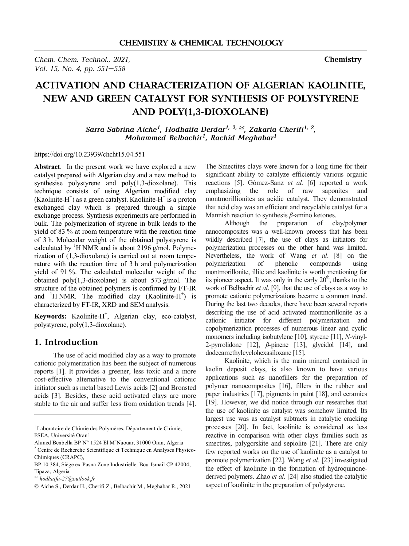*Chem. Chem. Technol., 2021,* **Chemistry**  *Vol. 15, No. 4, pp. 551–558* 

# **ACTIVATION AND CHARACTERIZATION OF ALGERIAN KAOLINITE, NEW AND GREEN CATALYST FOR SYNTHESIS OF POLYSTYRENE AND POLY(1,3-DIOXOLANE)**

*Sarra Sabrina Aiche<sup>1</sup> , Hodhaifa Derdar1, 2, \*, Zakaria Cherifi1, 2 , Mohammed Belbachir<sup>1</sup> , Rachid Meghabar<sup>1</sup>*

#### https://doi.org/10.23939/chcht15.04.551

Abstract. In the present work we have explored a new catalyst prepared with Algerian clay and a new method to synthesise polystyrene and poly(1,3-dioxolane). This technique consists of using Algerian modified clay  $(Kaolinite-H<sup>+</sup>)$  as a green catalyst. Kaolinite-H<sup>+</sup> is a proton exchanged clay which is prepared through a simple exchange process. Synthesis experiments are performed in bulk. The polymerization of styrene in bulk leads to the yield of 83 % at room temperature with the reaction time of 3 h. Molecular weight of the obtained polystyrene is calculated by  ${}^{1}$ H NMR and is about 2196 g/mol. Polymerization of (1,3-dioxolane) is carried out at room temperature with the reaction time of 3 h and polymerization yield of 91 %. The calculated molecular weight of the obtained poly(1,3-dioxolane) is about 573 g/mol. The structure of the obtained polymers is confirmed by FT-IR and  ${}^{1}$ H NMR. The modified clay (Kaolinite-H<sup>+</sup>) is characterized by FT-IR, XRD and SEM analysis.

Keywords: Kaolinite-H<sup>+</sup>, Algerian clay, eco-catalyst, polystyrene, poly(1,3-dioxolane).

#### **1. Introduction**

The use of acid modified clay as a way to promote cationic polymerization has been the subject of numerous reports [1]. It provides a greener, less toxic and a more cost-effective alternative to the conventional cationic initiator such as metal based Lewis acids [2] and Bronsted acids [3]. Besides, these acid activated clays are more stable to the air and suffer less from oxidation trends [4].

 $\overline{a}$ 

The Smectites clays were known for a long time for their significant ability to catalyze efficiently various organic reactions [5]. Gómez-Sanz *et al*. [6] reported a work emphasizing the role of raw saponites and montmorillionites as acidic catalyst. They demonstrated that acid clay was an efficient and recyclable catalyst for a Mannish reaction to synthesis *β*-amino ketones.

Although the preparation of clay/polymer nanocomposites was a well-known process that has been wildly described [7], the use of clays as initiators for polymerization processes on the other hand was limited. Nevertheless, the work of Wang *et al*. [8] on the polymerization of phenolic compounds using montmorillonite, illite and kaolinite is worth mentioning for its pioneer aspect. It was only in the early  $20<sup>th</sup>$ , thanks to the work of Belbachir *et al*. [9], that the use of clays as a way to promote cationic polymerizations became a common trend. During the last two decades, there have been several reports describing the use of acid activated montmorillonite as a cationic initiator for different polymerization and copolymerization processes of numerous linear and cyclic monomers including isobutylene [10], styrene [11], *N*-vinyl-2-pyrrolidone [12],  $\beta$ -pinene [13], glycidol [14], and dodecamethylcyclohexasiloxane [15].

Kaolinite, which is the main mineral contained in kaolin deposit clays, is also known to have various applications such as nanofillers for the preparation of polymer nanocomposites [16], fillers in the rubber and paper industries [17], pigments in paint [18], and ceramics [19]. However, we did notice through our researches that the use of kaolinite as catalyst was somehow limited. Its largest use was as catalyst subtracts in catalytic cracking processes [20]. In fact, kaolinite is considered as less reactive in comparison with other clays families such as smectites, palygorskite and sepiolite [21]. There are only few reported works on the use of kaolinite as a catalyst to promote polymerization [22]. Wang *et al.* [23] investigated the effect of kaolinite in the formation of hydroquinonederived polymers. Zhao *et al.* [24] also studied the catalytic aspect of kaolinite in the preparation of polystyrene.

<sup>&</sup>lt;sup>1</sup> Laboratoire de Chimie des Polymères, Département de Chimie, FSEA, Université Oran1

Ahmed Benbella BP N° 1524 El M'Naouar, 31000 Oran, Algeria <sup>2</sup> Centre de Recherche Scientifique et Technique en Analyses Physico-Chimiques (CRAPC),

BP 10 384, Siège ex-Pasna Zone Industrielle, Bou-Ismail CP 42004, Tipaza, Algeria

*<sup>\*</sup> hodhaifa-27@outlook.fr* 

Ó Aiche S., Derdar H., Cherifi Z., Belbachir M., Meghabar R., 2021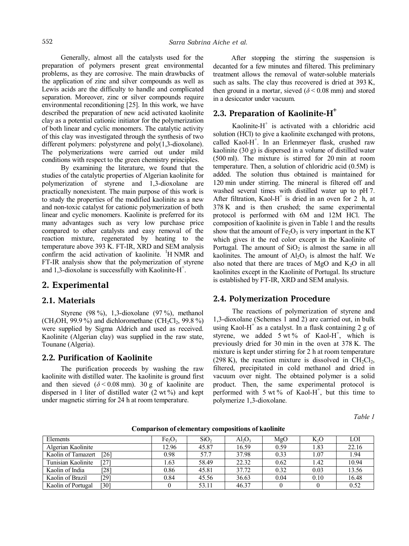Generally, almost all the catalysts used for the preparation of polymers present great environmental problems, as they are corrosive. The main drawbacks of the application of zinc and silver compounds as well as Lewis acids are the difficulty to handle and complicated separation. Moreover, zinc or silver compounds require environmental reconditioning [25]. In this work, we have described the preparation of new acid activated kaolinite clay as a potential cationic initiator for the polymerization of both linear and cyclic monomers. The catalytic activity of this clay was investigated through the synthesis of two different polymers: polystyrene and poly(1,3-dioxolane). The polymerizations were carried out under mild conditions with respect to the green chemistry principles.

By examining the literature, we found that the studies of the catalytic properties of Algerian kaolinite for polymerization of styrene and 1,3-dioxolane are practically nonexistent. The main purpose of this work is to study the properties of the modified kaolinite as a new and non-toxic catalyst for cationic polymerization of both linear and cyclic monomers. Kaolinite is preferred for its many advantages such as very low purchase price compared to other catalysts and easy removal of the reaction mixture, regenerated by heating to the temperature above 393 K. FT-IR, XRD and SEM analysis confirm the acid activation of kaolinite. <sup>1</sup>H NMR and FT-IR analysis show that the polymerization of styrene and 1,3-dioxolane is successfully with Kaolinite-H<sup>+</sup>.

#### **2. Experimental**

#### **2.1. Materials**

Styrene (98 %), 1,3-dioxolane (97 %), methanol (CH<sub>3</sub>OH, 99.9%) and dichloromethane (CH<sub>2</sub>Cl<sub>2</sub>, 99.8%) were supplied by Sigma Aldrich and used as received. Kaolinite (Algerian clay) was supplied in the raw state, Tounane (Algeria).

#### **2.2. Purification of Kaolinite**

The purification proceeds by washing the raw kaolinite with distilled water. The kaolinite is ground first and then sieved  $(\delta < 0.08$  mm). 30 g of kaolinite are dispersed in 1 liter of distilled water (2 wt %) and kept under magnetic stirring for 24 h at room temperature.

After stopping the stirring the suspension is decanted for a few minutes and filtered. This preliminary treatment allows the removal of water-soluble materials such as salts. The clay thus recovered is dried at 393 K, then ground in a mortar, sieved  $(\delta \le 0.08$  mm) and stored in a desiccator under vacuum.

# **2.3. Preparation of Kaolinite-H<sup>+</sup>**

Kaolinite- $H^+$  is activated with a chloridric acid solution (HCl) to give a kaolinite exchanged with protons, called Kaol-H<sup>+</sup>. In an Erlenmeyer flask, crushed raw kaolinite (30 g) is dispersed in a volume of distilled water (500 ml). The mixture is stirred for 20 min at room temperature. Then, a solution of chloridric acid (0.5M) is added. The solution thus obtained is maintained for 120 min under stirring. The mineral is filtered off and washed several times with distilled water up to pH 7. After filtration, Kaol-H<sup>+</sup> is dried in an oven for  $2$  h, at 378 K and is then crushed; the same experimental protocol is performed with 6M and 12M HCl. The composition of kaolinite is given in Table 1 and the results show that the amount of  $Fe<sub>2</sub>O<sub>3</sub>$  is very important in the KT which gives it the red color except in the Kaolinite of Portugal. The amount of  $SiO<sub>2</sub>$  is almost the same in all kaolinites. The amount of  $Al_2O_3$  is almost the half. We also noted that there are traces of MgO and  $K_2O$  in all kaolinites except in the Kaolinite of Portugal. Its structure is established by FT-IR, XRD and SEM analysis.

#### **2.4. Polymerization Procedure**

The reactions of polymerization of styrene and 1,3-dioxolane (Schemes 1 and 2) are carried out, in bulk using Kaol-H<sup>+</sup> as a catalyst. In a flask containing 2 g of styrene, we added  $5 \text{ wt } \%$  of Kaol-H<sup>+</sup>, which is previously dried for 30 min in the oven at 378 K. The mixture is kept under stirring for 2 h at room temperature (298 K), the reaction mixture is dissolved in  $CH_2Cl_2$ , filtered, precipitated in cold methanol and dried in vacuum over night. The obtained polymer is a solid product. Then, the same experimental protocol is performed with  $5 \text{ wt } \%$  of Kaol-H<sup>+</sup>, but this time to polymerize 1,3-dioxolane.

*Table 1* 

| Elements                                | Fe <sub>2</sub> O <sub>3</sub> | SiO <sub>2</sub> | $Al_2O_3$ | MgO  | K <sub>2</sub> O | LOI   |
|-----------------------------------------|--------------------------------|------------------|-----------|------|------------------|-------|
| Algerian Kaolinite                      | 12.96                          | 45.87            | 16.59     | 0.59 | 1.83             | 22.16 |
| Kaolin of Tamazert<br>[26]              | 0.98                           | 57.7             | 37.98     | 0.33 | 1.07             | 1.94  |
| [27]<br>Tunisian Kaolinite              | 1.63                           | 58.49            | 22.32     | 0.62 | 1.42             | 10.94 |
| $\left[ 28\right]$<br>Kaolin of India   | 0.86                           | 45.81            | 37.72     | 0.32 | 0.03             | 13.56 |
| [29]<br>Kaolin of Brazil                | 0.84                           | 45.56            | 36.63     | 0.04 | 0.10             | 16.48 |
| $\left[30\right]$<br>Kaolin of Portugal |                                | 53.11            | 46.37     |      |                  | 0.52  |

**Comparison of elementary compositions of kaolinite**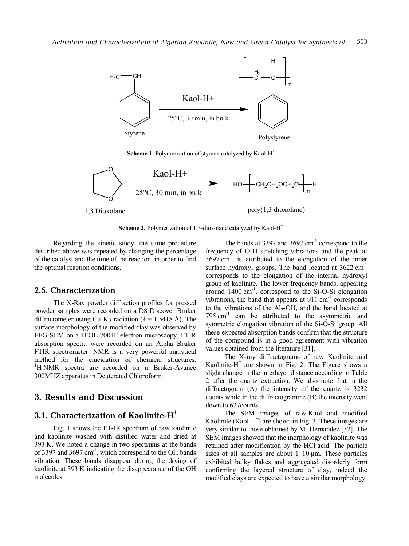

**Scheme 1.** Polymerization of styrene catalyzed by Kaol-H<sup>+</sup>



**Scheme 2.** Polymerization of 1,3-dioxolane catalyzed by Kaol-H<sup>+</sup>

Regarding the kinetic study, the same procedure described above was repeated by changing the percentage of the catalyst and the time of the reaction, in order to find the optimal reaction conditions.

#### **2.5. Characterization**

The X-Ray powder diffraction profiles for pressed powder samples were recorded on a D8 Discover Bruker diffractometer using Cu-K $\alpha$  radiation ( $\lambda$  = 1.5418 Å). The surface morphology of the modified clay was observed by FEG-SEM on a JEOL 7001F electron microscopy. FTIR absorption spectra were recorded on an Alpha Bruker FTIR spectrometer. NMR is a very powerful analytical method for the elucidation of chemical structures. <sup>1</sup>H NMR spectra are recorded on a Bruker-Avance 300MHZ apparatus in Deuterated Chloroform.

### **3. Results and Discussion**

#### **3.1. Characterization of Kaolinite-H<sup>+</sup>**

Fig. 1 shows the FT-IR spectrum of raw kaolinite and kaolinite washed with distilled water and dried at 393 K. We noted a change in two spectrums at the bands of 3397 and 3697 cm<sup>-1</sup>, which correspond to the OH bands vibration. These bands disappear during the drying of kaolinite at 393 K indicating the disappearance of the OH molecules.

The bands at 3397 and  $3697 \text{ cm}^{-1}$  correspond to the frequency of O-H stretching vibrations and the peak at  $3697 \text{ cm}^{-1}$  is attributed to the elongation of the inner surface hydroxyl groups. The band located at  $3622 \text{ cm}^{-1}$ corresponds to the elongation of the internal hydroxyl group of kaolinite. The lower frequency bands, appearing around 1400 cm -1 , correspond to the Si-O-Si elongation vibrations, the band that appears at  $911 \text{ cm}^{-1}$  corresponds to the vibrations of the Al<sub>2</sub>-OH, and the band located at 795  $cm<sup>-1</sup>$  can be attributed to the asymmetric and symmetric elongation vibration of the Si-O-Si group. All these expected absorption bands confirm that the structure of the compound is in a good agreement with vibration values obtained from the literature [31].

The X-ray diffractograms of raw Kaolinite and Kaolinite- $H^+$  are shown in Fig. 2. The Figure shows a slight change in the interlayer distance according to Table 2 after the quartz extraction. We also note that in the diffractogram (A) the intensity of the quartz is 3232 counts while in the diffractogramme (B) the intensity went down to 637counts.

The SEM images of raw-Kaol and modified Kaolinite (Kaol-H<sup>+</sup>) are shown in Fig. 3. These images are very similar to those obtained by M. Hernandez [32]. The SEM images showed that the morphology of kaolinite was retained after modification by the HCl acid. The particle sizes of all samples are about  $1-10 \mu m$ . These particles exhibited bulky flakes and aggregated disorderly form confirming the layered structure of clay, indeed the modified clays are expected to have a similar morphology.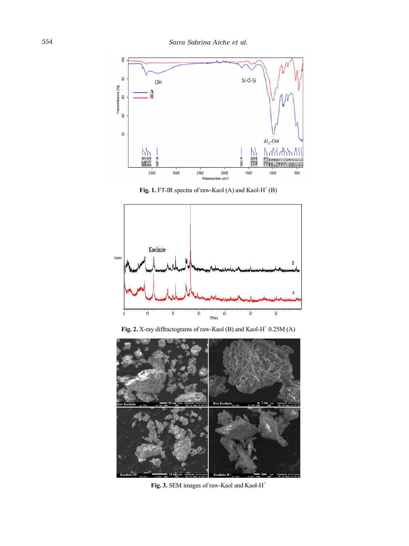

Fig. 1. FT-IR spectra of raw-Kaol  $(A)$  and Kaol-H<sup>+</sup> $(B)$ 



Fig. 2. X-ray diffractograms of raw-Kaol (B) and Kaol-H<sup>+</sup> 0.25M (A)



**Fig. 3.** SEM images of raw-Kaol and Kaol-H<sup>+</sup>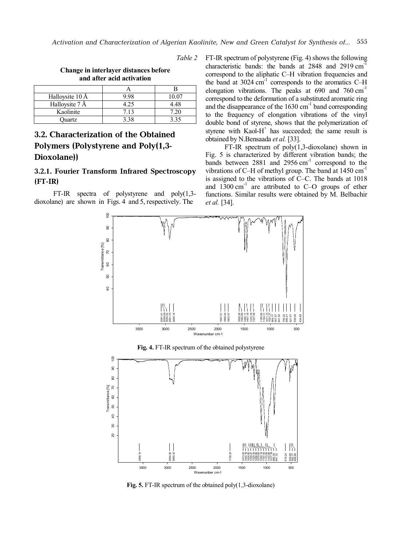*Table 2* 

| Change in interlayer distances before |
|---------------------------------------|
| and after acid activation             |

| Halloysite 10 Å | 9 98 | 00 <sup>o</sup> |
|-----------------|------|-----------------|
| Halloysite 7 Å  |      | 4.48            |
| Kaolinite       | 7.13 |                 |
| Ouartz          |      |                 |

# **3.2. Characterization of the Obtained Polymers (Polystyrene and Poly(1,3- Dioxolane))**

## **3.2.1. Fourier Transform Infrared Spectroscopy (FT-IR)**

FT-IR spectra of polystyrene and poly(1,3 dioxolane) are shown in Figs. 4 and 5, respectively. The

FT-IR spectrum of polystyrene (Fig. 4) shows the following characteristic bands: the bands at  $2848$  and  $2919 \text{ cm}^3$ correspond to the aliphatic C–H vibration frequencies and the band at  $3024 \text{ cm}^{-1}$  corresponds to the aromatics C-H elongation vibrations. The peaks at  $690$  and  $760 \text{ cm}^{-1}$ correspond to the deformation of a substituted aromatic ring and the disappearance of the  $1630 \text{ cm}^{-1}$  band corresponding to the frequency of elongation vibrations of the vinyl double bond of styrene, shows that the polymerization of styrene with  $Kaol-H^+$  has succeeded; the same result is obtained by N.Bensaada *et al.* [33].

FT-IR spectrum of poly(1,3-dioxolane) shown in Fig. 5 is characterized by different vibration bands; the bands between  $2881$  and  $2956$  cm<sup>-1</sup> correspond to the vibrations of C-H of methyl group. The band at  $1450 \text{ cm}^{-1}$ is assigned to the vibrations of  $\overline{C}-\overline{C}$ . The bands at 1018 and  $1300 \text{ cm}^{-1}$  are attributed to C-O groups of ether functions. Similar results were obtained by M. Belbachir *et al.* [34].



**Fig. 4.** FT-IR spectrum of the obtained polystyrene



**Fig. 5.** FT-IR spectrum of the obtained poly(1,3-dioxolane)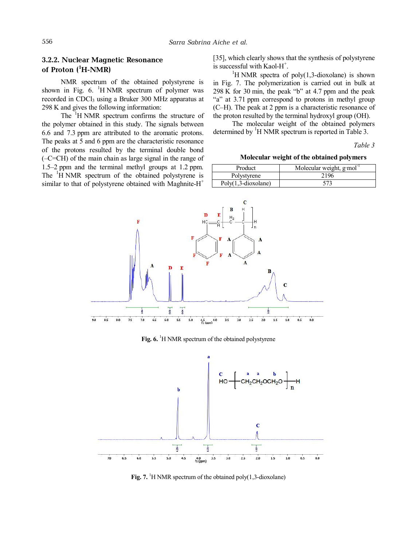#### **3.2.2. Nuclear Magnetic Resonance of Proton (<sup>1</sup>H-NMR)**

NMR spectrum of the obtained polystyrene is shown in Fig.  $6.$  <sup>1</sup>H NMR spectrum of polymer was recorded in CDCl<sub>3</sub> using a Bruker 300 MHz apparatus at 298 K and gives the following information:

The <sup>1</sup>H NMR spectrum confirms the structure of the polymer obtained in this study. The signals between 6.6 and 7.3 ppm are attributed to the aromatic protons. The peaks at 5 and 6 ppm are the characteristic resonance of the protons resulted by the terminal double bond (–C=CH) of the main chain as large signal in the range of 1.5–2 ppm and the terminal methyl groups at 1.2 ppm. The  ${}^{1}$ H NMR spectrum of the obtained polystyrene is similar to that of polystyrene obtained with Maghnite- $H^+$ 

[35], which clearly shows that the synthesis of polystyrene is successful with Kaol- $H^+$ .

<sup>1</sup>H NMR spectra of poly(1,3-dioxolane) is shown in Fig. 7. The polymerization is carried out in bulk at 298 K for 30 min, the peak "b" at 4.7 ppm and the peak "a" at 3.71 ppm correspond to protons in methyl group (C–H). The peak at 2 ppm is a characteristic resonance of the proton resulted by the terminal hydroxyl group (OH).

The molecular weight of the obtained polymers determined by  ${}^{1}H$  NMR spectrum is reported in Table 3.

*Table 3* 

**Molecular weight of the obtained polymers** 

| Product                      | Molecular weight, $g \mod$ <sup>1</sup> |
|------------------------------|-----------------------------------------|
| Polystyrene                  | 2196                                    |
| $Poly(1,3\text{-divsolane})$ | 573                                     |



**Fig. 6.** <sup>1</sup>H NMR spectrum of the obtained polystyrene



**Fig. 7.** <sup>1</sup>H NMR spectrum of the obtained poly(1,3-dioxolane)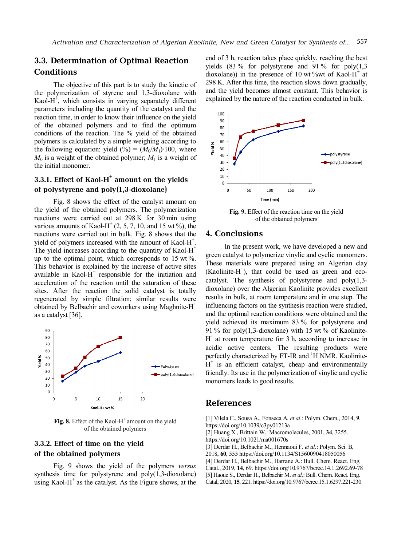# **3.3. Determination of Optimal Reaction Conditions**

The objective of this part is to study the kinetic of the polymerization of styrene and 1,3-dioxolane with Kaol $-H^+$ , which consists in varying separately different parameters including the quantity of the catalyst and the reaction time, in order to know their influence on the yield of the obtained polymers and to find the optimum conditions of the reaction. The % yield of the obtained polymers is calculated by a simple weighing according to the following equation: yield (%) =  $(M_0/M_1)$ ⋅100, where  $M_0$  is a weight of the obtained polymer;  $M_1$  is a weight of the initial monomer.

# **3.3.1. Effect of Kaol-H<sup>+</sup> amount on the yields of polystyrene and poly(1,3-dioxolane)**

Fig. 8 shows the effect of the catalyst amount on the yield of the obtained polymers. The polymerization reactions were carried out at 298 K for 30 min using various amounts of Kaol-H<sup>+</sup> (2, 5, 7, 10, and 15 wt %), the reactions were carried out in bulk. Fig. 8 shows that the yield of polymers increased with the amount of Kaol-H<sup>+</sup>. The yield increases according to the quantity of Kaol- $H^+$ up to the optimal point, which corresponds to  $15 \text{ wt } \%$ . This behavior is explained by the increase of active sites available in Kaol- $\hat{H}^+$  responsible for the initiation and acceleration of the reaction until the saturation of these sites. After the reaction the solid catalyst is totally regenerated by simple filtration; similar results were obtained by Belbachir and coworkers using Maghnite-H<sup>+</sup> as a catalyst [36].



Fig. 8. Effect of the Kaol-H<sup>+</sup> amount on the yield of the obtained polymers

### **3.3.2. Effect of time on the yield of the obtained polymers**

Fig. 9 shows the yield of the polymers *versus* synthesis time for polystyrene and poly(1,3-dioxolane) using Kaol- $H^+$  as the catalyst. As the Figure shows, at the end of 3 h, reaction takes place quickly, reaching the best yields  $(83\%$  for polystyrene and 91% for poly $(1,3)$ dioxolane)) in the presence of 10 wt %wt of Kaol-H<sup>+</sup> at 298 K. After this time, the reaction slows down gradually, and the yield becomes almost constant. This behavior is explained by the nature of the reaction conducted in bulk.



**Fig. 9.** Effect of the reaction time on the yield of the obtained polymers

#### **4. Conclusions**

In the present work, we have developed a new and green catalyst to polymerize vinylic and cyclic monomers. These materials were prepared using an Algerian clay  $(Kaolinite-H<sup>+</sup>)$ , that could be used as green and ecocatalyst. The synthesis of polystyrene and  $poly(1,3$ dioxolane) over the Algerian Kaolinite provides excellent results in bulk, at room temperature and in one step. The influencing factors on the synthesis reaction were studied, and the optimal reaction conditions were obtained and the yield achieved its maximum 83 % for polystyrene and 91 % for poly(1,3-dioxolane) with 15 wt % of Kaolinite-H + at room temperature for 3 h, according to increase in acidic active centers. The resulting products were perfectly characterized by  $FT-IR$  and  $^1H$  NMR. Kaolinite- $H^+$  is an efficient catalyst, cheap and environmentally friendly. Its use in the polymerization of vinylic and cyclic monomers leads to good results.

#### **References**

[1] Vilela C., Sousa A., Fonseca A. *et al*.: Polym. Chem., 2014, **9**. https://doi.org/10.1039/c3py01213a [2] Huang X., Brittain W.: Macromolecules, 2001, **34**, 3255. https://doi.org/10.1021/ma001670s [3] Derdar H., Belbachir M., Hennaoui F. *et al*.: Polym. Sci. B, 2018, **60**, 555 https://doi.org/10.1134/S1560090418050056 [4] Derdar H., Belbachir M., Harrane A.: Bull. Chem. React. Eng. Catal., 2019, **14**, 69. https://doi.org/10.9767/bcrec.14.1.2692.69-78 [5] Haoue S., Derdar H., Belbachir M. *et al*.: Bull. Chem. React. Eng. Catal, 2020, **15**, 221. https://doi.org/10.9767/bcrec.15.1.6297.221-230